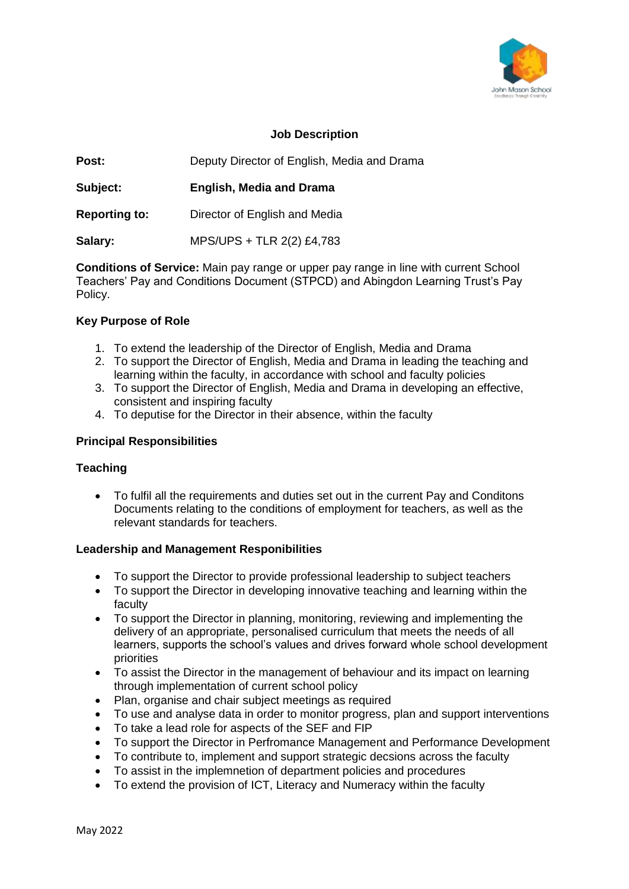

# **Job Description**

**Post:** Deputy Director of English, Media and Drama

**Subject: English, Media and Drama**

**Reporting to:** Director of English and Media

**Salary:** MPS/UPS + TLR 2(2) £4,783

**Conditions of Service:** Main pay range or upper pay range in line with current School Teachers' Pay and Conditions Document (STPCD) and Abingdon Learning Trust's Pay Policy.

## **Key Purpose of Role**

- 1. To extend the leadership of the Director of English, Media and Drama
- 2. To support the Director of English, Media and Drama in leading the teaching and learning within the faculty, in accordance with school and faculty policies
- 3. To support the Director of English, Media and Drama in developing an effective, consistent and inspiring faculty
- 4. To deputise for the Director in their absence, within the faculty

### **Principal Responsibilities**

#### **Teaching**

 To fulfil all the requirements and duties set out in the current Pay and Conditons Documents relating to the conditions of employment for teachers, as well as the relevant standards for teachers.

#### **Leadership and Management Responibilities**

- To support the Director to provide professional leadership to subject teachers
- To support the Director in developing innovative teaching and learning within the faculty
- To support the Director in planning, monitoring, reviewing and implementing the delivery of an appropriate, personalised curriculum that meets the needs of all learners, supports the school's values and drives forward whole school development priorities
- To assist the Director in the management of behaviour and its impact on learning through implementation of current school policy
- Plan, organise and chair subject meetings as required
- To use and analyse data in order to monitor progress, plan and support interventions
- To take a lead role for aspects of the SEF and FIP
- To support the Director in Perfromance Management and Performance Development
- To contribute to, implement and support strategic decsions across the faculty
- To assist in the implemnetion of department policies and procedures
- To extend the provision of ICT, Literacy and Numeracy within the faculty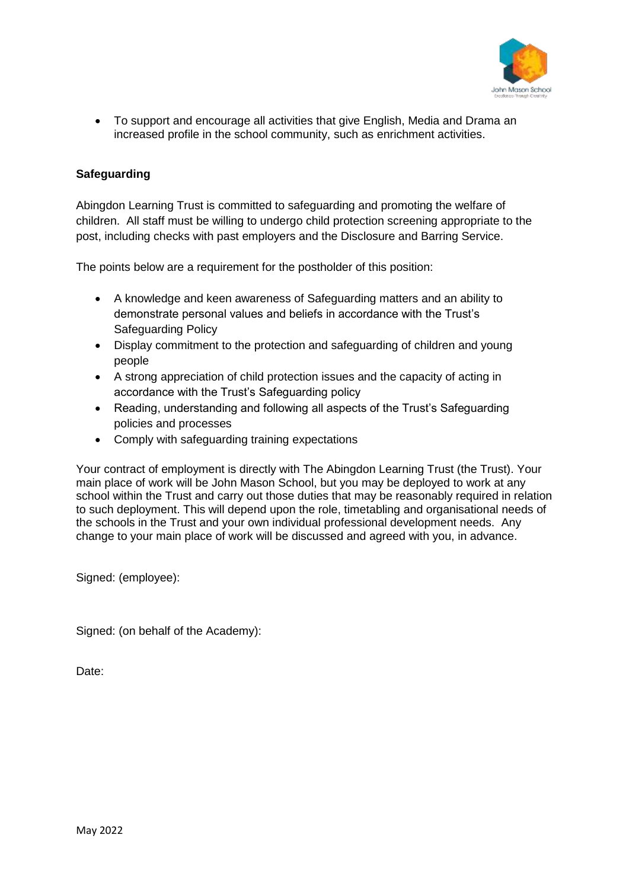

 To support and encourage all activities that give English, Media and Drama an increased profile in the school community, such as enrichment activities.

# **Safeguarding**

Abingdon Learning Trust is committed to safeguarding and promoting the welfare of children. All staff must be willing to undergo child protection screening appropriate to the post, including checks with past employers and the Disclosure and Barring Service.

The points below are a requirement for the postholder of this position:

- A knowledge and keen awareness of Safeguarding matters and an ability to demonstrate personal values and beliefs in accordance with the Trust's Safeguarding Policy
- Display commitment to the protection and safeguarding of children and young people
- A strong appreciation of child protection issues and the capacity of acting in accordance with the Trust's Safeguarding policy
- Reading, understanding and following all aspects of the Trust's Safeguarding policies and processes
- Comply with safeguarding training expectations

Your contract of employment is directly with The Abingdon Learning Trust (the Trust). Your main place of work will be John Mason School, but you may be deployed to work at any school within the Trust and carry out those duties that may be reasonably required in relation to such deployment. This will depend upon the role, timetabling and organisational needs of the schools in the Trust and your own individual professional development needs. Any change to your main place of work will be discussed and agreed with you, in advance.

Signed: (employee):

Signed: (on behalf of the Academy):

Date: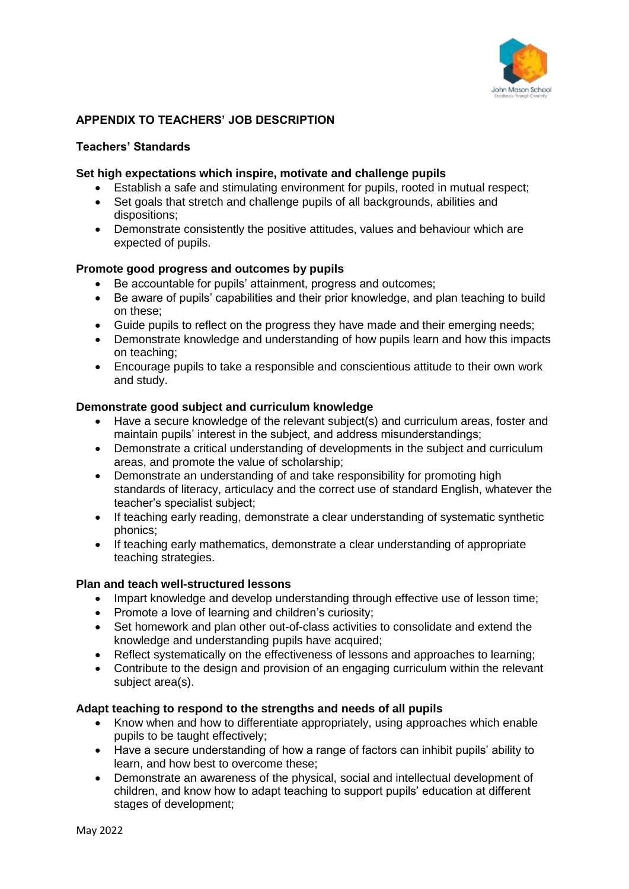

# **APPENDIX TO TEACHERS' JOB DESCRIPTION**

## **Teachers' Standards**

## **Set high expectations which inspire, motivate and challenge pupils**

- Establish a safe and stimulating environment for pupils, rooted in mutual respect;
- Set goals that stretch and challenge pupils of all backgrounds, abilities and dispositions;
- Demonstrate consistently the positive attitudes, values and behaviour which are expected of pupils.

## **Promote good progress and outcomes by pupils**

- Be accountable for pupils' attainment, progress and outcomes;
- Be aware of pupils' capabilities and their prior knowledge, and plan teaching to build on these;
- Guide pupils to reflect on the progress they have made and their emerging needs;
- Demonstrate knowledge and understanding of how pupils learn and how this impacts on teaching;
- Encourage pupils to take a responsible and conscientious attitude to their own work and study.

## **Demonstrate good subject and curriculum knowledge**

- Have a secure knowledge of the relevant subject(s) and curriculum areas, foster and maintain pupils' interest in the subject, and address misunderstandings;
- Demonstrate a critical understanding of developments in the subject and curriculum areas, and promote the value of scholarship;
- Demonstrate an understanding of and take responsibility for promoting high standards of literacy, articulacy and the correct use of standard English, whatever the teacher's specialist subject;
- If teaching early reading, demonstrate a clear understanding of systematic synthetic phonics;
- If teaching early mathematics, demonstrate a clear understanding of appropriate teaching strategies.

#### **Plan and teach well-structured lessons**

- Impart knowledge and develop understanding through effective use of lesson time;
- Promote a love of learning and children's curiosity;
- Set homework and plan other out-of-class activities to consolidate and extend the knowledge and understanding pupils have acquired;
- Reflect systematically on the effectiveness of lessons and approaches to learning;
- Contribute to the design and provision of an engaging curriculum within the relevant subject area(s).

# **Adapt teaching to respond to the strengths and needs of all pupils**

- Know when and how to differentiate appropriately, using approaches which enable pupils to be taught effectively;
- Have a secure understanding of how a range of factors can inhibit pupils' ability to learn, and how best to overcome these;
- Demonstrate an awareness of the physical, social and intellectual development of children, and know how to adapt teaching to support pupils' education at different stages of development;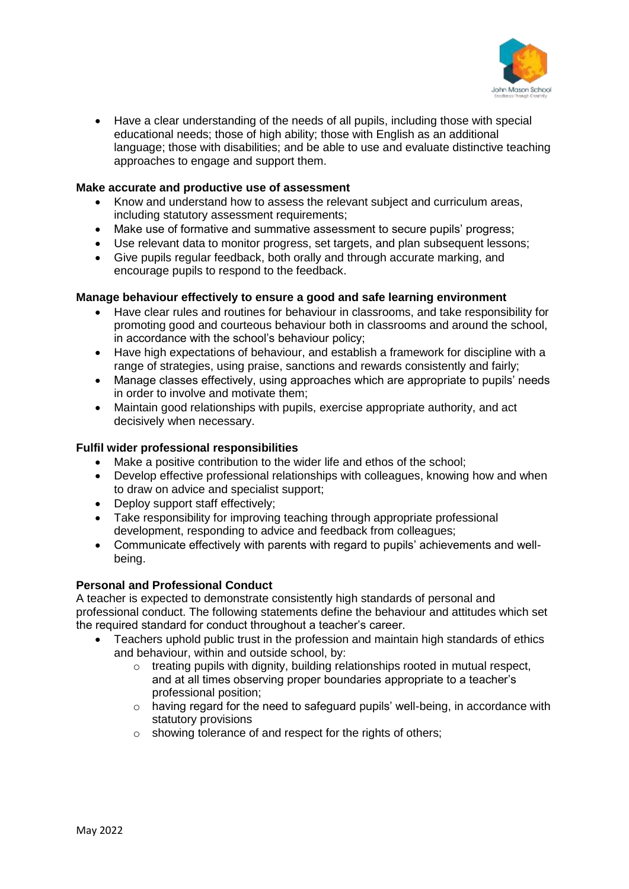

 Have a clear understanding of the needs of all pupils, including those with special educational needs; those of high ability; those with English as an additional language; those with disabilities; and be able to use and evaluate distinctive teaching approaches to engage and support them.

## **Make accurate and productive use of assessment**

- Know and understand how to assess the relevant subject and curriculum areas, including statutory assessment requirements;
- Make use of formative and summative assessment to secure pupils' progress;
- Use relevant data to monitor progress, set targets, and plan subsequent lessons;
- Give pupils regular feedback, both orally and through accurate marking, and encourage pupils to respond to the feedback.

#### **Manage behaviour effectively to ensure a good and safe learning environment**

- Have clear rules and routines for behaviour in classrooms, and take responsibility for promoting good and courteous behaviour both in classrooms and around the school, in accordance with the school's behaviour policy;
- Have high expectations of behaviour, and establish a framework for discipline with a range of strategies, using praise, sanctions and rewards consistently and fairly;
- Manage classes effectively, using approaches which are appropriate to pupils' needs in order to involve and motivate them;
- Maintain good relationships with pupils, exercise appropriate authority, and act decisively when necessary.

#### **Fulfil wider professional responsibilities**

- Make a positive contribution to the wider life and ethos of the school;
- Develop effective professional relationships with colleagues, knowing how and when to draw on advice and specialist support;
- Deploy support staff effectively;
- Take responsibility for improving teaching through appropriate professional development, responding to advice and feedback from colleagues;
- Communicate effectively with parents with regard to pupils' achievements and wellbeing.

# **Personal and Professional Conduct**

A teacher is expected to demonstrate consistently high standards of personal and professional conduct. The following statements define the behaviour and attitudes which set the required standard for conduct throughout a teacher's career.

- Teachers uphold public trust in the profession and maintain high standards of ethics and behaviour, within and outside school, by:
	- o treating pupils with dignity, building relationships rooted in mutual respect, and at all times observing proper boundaries appropriate to a teacher's professional position;
	- o having regard for the need to safeguard pupils' well-being, in accordance with statutory provisions
	- o showing tolerance of and respect for the rights of others;